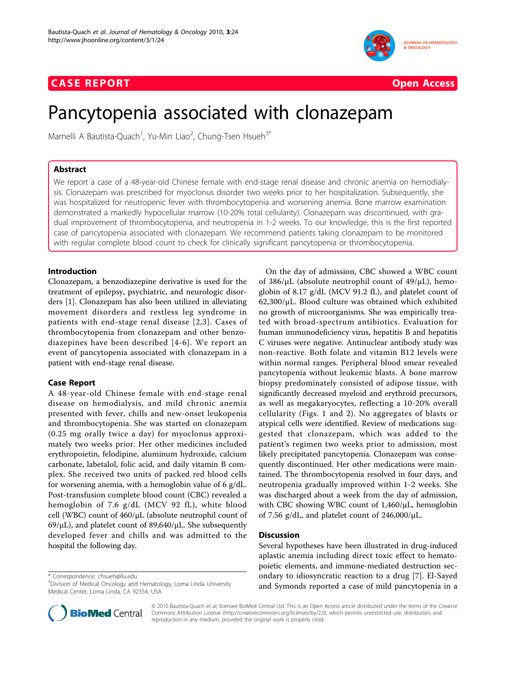## **CASE REPORT CASE REPORT**



# Pancytopenia associated with clonazepam

Marnelli A Bautista-Quach<sup>1</sup>, Yu-Min Liao<sup>2</sup>, Chung-Tsen Hsueh $^{3^*}$ 

## Abstract

We report a case of a 48-year-old Chinese female with end-stage renal disease and chronic anemia on hemodialysis. Clonazepam was prescribed for myoclonus disorder two weeks prior to her hospitalization. Subsequently, she was hospitalized for neutropenic fever with thrombocytopenia and worsening anemia. Bone marrow examination demonstrated a markedly hypocellular marrow (10-20% total cellularity). Clonazepam was discontinued, with gradual improvement of thrombocytopenia, and neutropenia in 1-2 weeks. To our knowledge, this is the first reported case of pancytopenia associated with clonazepam. We recommend patients taking clonazepam to be monitored with regular complete blood count to check for clinically significant pancytopenia or thrombocytopenia.

## Introduction

Clonazepam, a benzodiazepine derivative is used for the treatment of epilepsy, psychiatric, and neurologic disorders [\[1\]](#page-1-0). Clonazepam has also been utilized in alleviating movement disorders and restless leg syndrome in patients with end-stage renal disease [[2,3\]](#page-1-0). Cases of thrombocytopenia from clonazepam and other benzodiazepines have been described [[4-6](#page-1-0)]. We report an event of pancytopenia associated with clonazepam in a patient with end-stage renal disease.

## Case Report

A 48-year-old Chinese female with end-stage renal disease on hemodialysis, and mild chronic anemia presented with fever, chills and new-onset leukopenia and thrombocytopenia. She was started on clonazepam (0.25 mg orally twice a day) for myoclonus approximately two weeks prior. Her other medicines included erythropoietin, felodipine, aluminum hydroxide, calcium carbonate, labetalol, folic acid, and daily vitamin B complex. She received two units of packed red blood cells for worsening anemia, with a hemoglobin value of 6 g/dL. Post-transfusion complete blood count (CBC) revealed a hemoglobin of 7.6 g/dL (MCV 92 fL), white blood cell (WBC) count of 460/μL (absolute neutrophil count of  $69/\mu$ L), and platelet count of  $89,640/\mu$ L. She subsequently developed fever and chills and was admitted to the hospital the following day.

\* Correspondence: [chsueh@llu.edu](mailto:chsueh@llu.edu)

On the day of admission, CBC showed a WBC count of 386/μL (absolute neutrophil count of 49/μL), hemoglobin of 8.17 g/dL (MCV 91.2 fL), and platelet count of  $62,300/\mu$ L. Blood culture was obtained which exhibited no growth of microorganisms. She was empirically treated with broad-spectrum antibiotics. Evaluation for human immunodeficiency virus, hepatitis B and hepatitis C viruses were negative. Antinuclear antibody study was non-reactive. Both folate and vitamin B12 levels were within normal ranges. Peripheral blood smear revealed pancytopenia without leukemic blasts. A bone marrow biopsy predominately consisted of adipose tissue, with significantly decreased myeloid and erythroid precursors, as well as megakaryocytes, reflecting a 10-20% overall cellularity (Figs. [1](#page-1-0) and [2\)](#page-1-0). No aggregates of blasts or atypical cells were identified. Review of medications suggested that clonazepam, which was added to the patient's regimen two weeks prior to admission, most likely precipitated pancytopenia. Clonazepam was consequently discontinued. Her other medications were maintained. The thrombocytopenia resolved in four days, and neutropenia gradually improved within 1-2 weeks. She was discharged about a week from the day of admission, with CBC showing WBC count of 1,460/μL, hemoglobin of 7.56 g/dL, and platelet count of  $246,000/\mu L$ .

## **Discussion**

Several hypotheses have been illustrated in drug-induced aplastic anemia including direct toxic effect to hematopoietic elements, and immune-mediated destruction secondary to idiosyncratic reaction to a drug [[7\]](#page-1-0). El-Sayed and Symonds reported a case of mild pancytopenia in a



© 2010 Bautista-Quach et al; licensee BioMed Central Ltd. This is an Open Access article distributed under the terms of the Creative Commons Attribution License [\(http://creativecommons.org/licenses/by/2.0](http://creativecommons.org/licenses/by/2.0)), which permits unrestricted use, distribution, and reproduction in any medium, provided the original work is properly cited.

<sup>&</sup>lt;sup>3</sup>Division of Medical Oncology and Hematology, Loma Linda University Medical Center, Loma Linda, CA 92354, USA